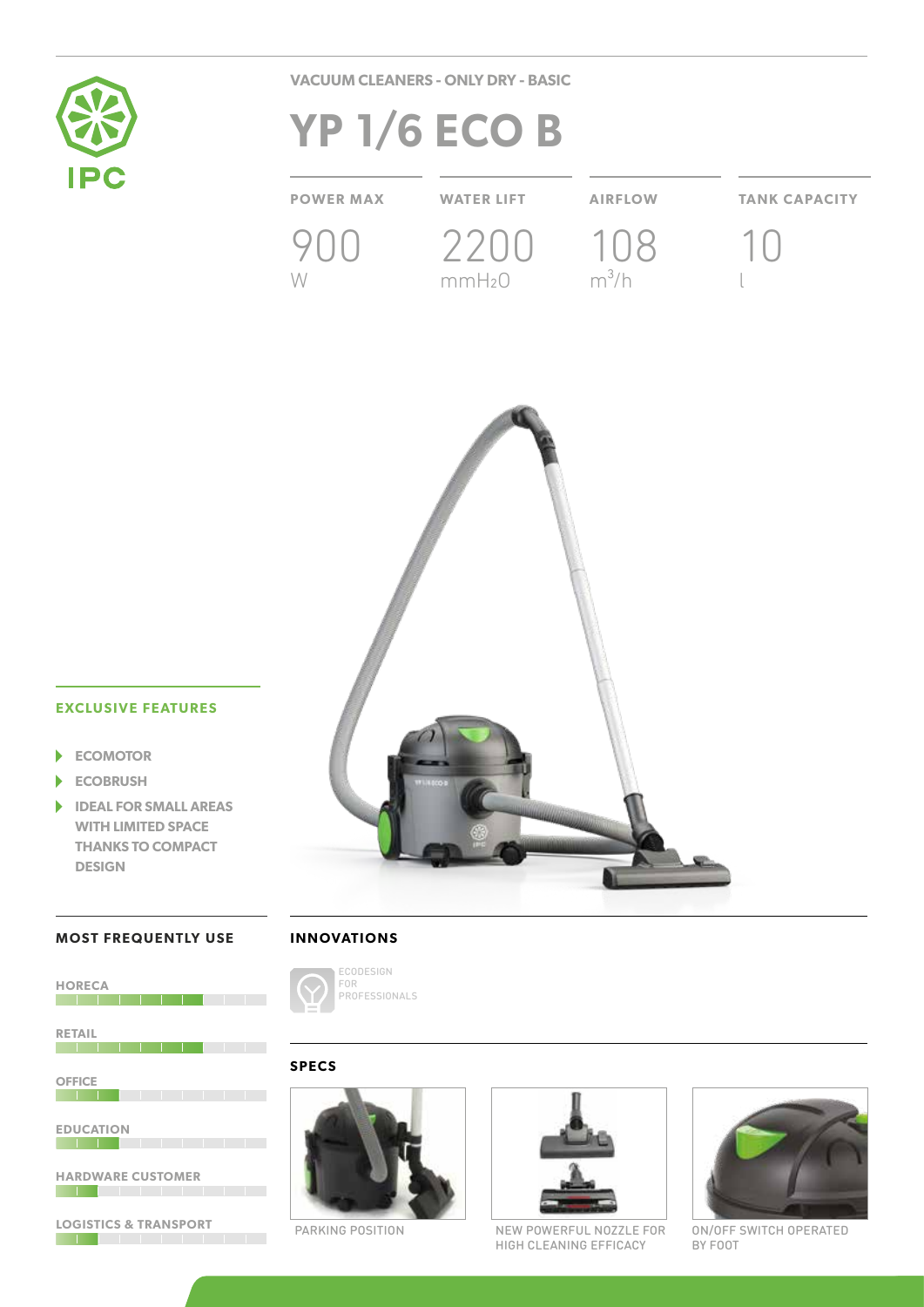

**VACUUM CLEANERS - ONLY DRY - BASIC**

# **YP 1/6 ECO B**

**POWER MAX WATER LIFT AIRFLOW TANK CAPACITY** 900 W 2200 mmH2O 108  $m^3/h$ 10 l



# **EXCLUSIVE FEATURES**

- **ECOMOTOR**  $\blacktriangleright$
- **ECOBRUSH** ٠
- $\blacktriangleright$ **IDEAL FOR SMALL AREAS WITH LIMITED SPACE THANKS TO COMPACT DESIGN**

## **MOST FREQUENTLY USE**

|  |  |  | <b>INNOVATIONS</b> |  |  |  |  |  |  |  |
|--|--|--|--------------------|--|--|--|--|--|--|--|
|--|--|--|--------------------|--|--|--|--|--|--|--|

ECODESIGN FOR

PROFESSIONALS



**LOGISTICS & TRANSPORT**





PARKING POSITION NEW POWERFUL NOZZLE FOR HIGH CLEANING EFFICACY



ON/OFF SWITCH OPERATED BY FOOT